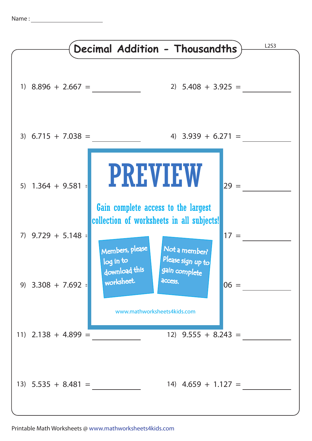